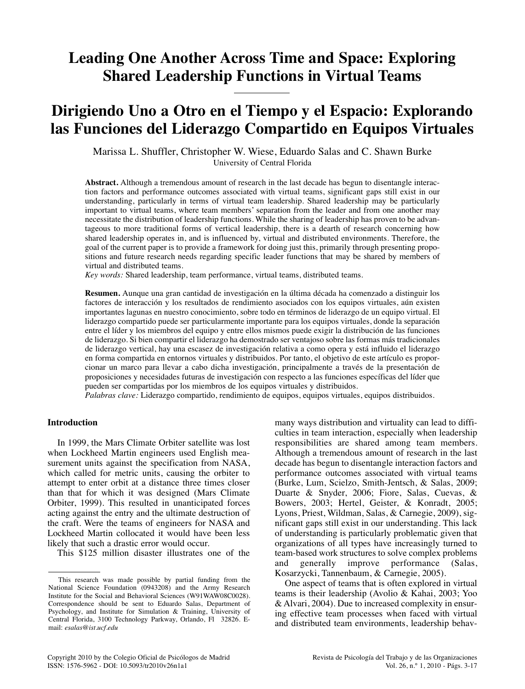# **Leading One Another Across Time and Space: Exploring Shared Leadership Functions in Virtual Teams**

# **Dirigiendo Uno a Otro en el Tiempo y el Espacio: Explorando las Funciones del Liderazgo Compartido en Equipos Virtuales**

Marissa L. Shuffler, Christopher W. Wiese, Eduardo Salas and C. Shawn Burke University of Central Florida

**Abstract.** Although a tremendous amount of research in the last decade has begun to disentangle interaction factors and performance outcomes associated with virtual teams, significant gaps still exist in our understanding, particularly in terms of virtual team leadership. Shared leadership may be particularly important to virtual teams, where team members' separation from the leader and from one another may necessitate the distribution of leadership functions. While the sharing of leadership has proven to be advantageous to more traditional forms of vertical leadership, there is a dearth of research concerning how shared leadership operates in, and is influenced by, virtual and distributed environments. Therefore, the goal of the current paper is to provide a framework for doing just this, primarily through presenting propositions and future research needs regarding specific leader functions that may be shared by members of virtual and distributed teams.

*Key words:* Shared leadership, team performance, virtual teams, distributed teams.

**Resumen.** Aunque una gran cantidad de investigación en la última década ha comenzado a distinguir los factores de interacción y los resultados de rendimiento asociados con los equipos virtuales, aún existen importantes lagunas en nuestro conocimiento, sobre todo en términos de liderazgo de un equipo virtual. El liderazgo compartido puede ser particularmente importante para los equipos virtuales, donde la separación entre el líder y los miembros del equipo y entre ellos mismos puede exigir la distribución de las funciones de liderazgo. Si bien compartir el liderazgo ha demostrado ser ventajoso sobre las formas más tradicionales de liderazgo vertical, hay una escasez de investigación relativa a como opera y está influido el liderazgo en forma compartida en entornos virtuales y distribuidos. Por tanto, el objetivo de este artículo es proporcionar un marco para llevar a cabo dicha investigación, principalmente a través de la presentación de proposiciones y necesidades futuras de investigación con respecto a las funciones específicas del líder que pueden ser compartidas por los miembros de los equipos virtuales y distribuidos.

*Palabras clave:* Liderazgo compartido, rendimiento de equipos, equipos virtuales, equipos distribuidos.

#### **Introduction**

In 1999, the Mars Climate Orbiter satellite was lost when Lockheed Martin engineers used English measurement units against the specification from NASA, which called for metric units, causing the orbiter to attempt to enter orbit at a distance three times closer than that for which it was designed (Mars Climate Orbiter, 1999). This resulted in unanticipated forces acting against the entry and the ultimate destruction of the craft. Were the teams of engineers for NASA and Lockheed Martin collocated it would have been less likely that such a drastic error would occur.

This \$125 million disaster illustrates one of the

many ways distribution and virtuality can lead to difficulties in team interaction, especially when leadership responsibilities are shared among team members. Although a tremendous amount of research in the last decade has begun to disentangle interaction factors and performance outcomes associated with virtual teams (Burke, Lum, Scielzo, Smith-Jentsch, & Salas, 2009; Duarte & Snyder, 2006; Fiore, Salas, Cuevas, & Bowers, 2003; Hertel, Geister, & Konradt, 2005; Lyons, Priest, Wildman, Salas, & Carnegie, 2009), significant gaps still exist in our understanding. This lack of understanding is particularly problematic given that organizations of all types have increasingly turned to team-based work structures to solve complex problems and generally improve performance (Salas, Kosarzycki, Tannenbaum, & Carnegie, 2005).

One aspect of teams that is often explored in virtual teams is their leadership (Avolio & Kahai, 2003; Yoo & Alvari, 2004). Due to increased complexity in ensuring effective team processes when faced with virtual and distributed team environments, leadership behav-

This research was made possible by partial funding from the National Science Foundation (0943208) and the Army Research Institute for the Social and Behavioral Sciences (W91WAW08C0028). Correspondence should be sent to Eduardo Salas, Department of Psychology, and Institute for Simulation & Training, University of Central Florida, 3100 Technology Parkway, Orlando, Fl 32826. Email: *esalas@ist.ucf.edu*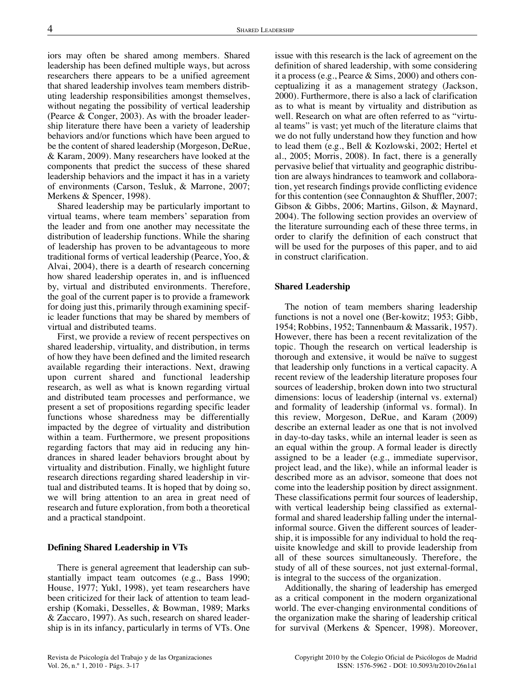iors may often be shared among members. Shared leadership has been defined multiple ways, but across researchers there appears to be a unified agreement that shared leadership involves team members distributing leadership responsibilities amongst themselves, without negating the possibility of vertical leadership (Pearce & Conger, 2003). As with the broader leadership literature there have been a variety of leadership behaviors and/or functions which have been argued to be the content of shared leadership (Morgeson, DeRue, & Karam, 2009). Many researchers have looked at the components that predict the success of these shared leadership behaviors and the impact it has in a variety of environments (Carson, Tesluk, & Marrone, 2007; Merkens & Spencer, 1998).

Shared leadership may be particularly important to virtual teams, where team members' separation from the leader and from one another may necessitate the distribution of leadership functions. While the sharing of leadership has proven to be advantageous to more traditional forms of vertical leadership (Pearce, Yoo, & Alvai, 2004), there is a dearth of research concerning how shared leadership operates in, and is influenced by, virtual and distributed environments. Therefore, the goal of the current paper is to provide a framework for doing just this, primarily through examining specific leader functions that may be shared by members of virtual and distributed teams.

First, we provide a review of recent perspectives on shared leadership, virtuality, and distribution, in terms of how they have been defined and the limited research available regarding their interactions. Next, drawing upon current shared and functional leadership research, as well as what is known regarding virtual and distributed team processes and performance, we present a set of propositions regarding specific leader functions whose sharedness may be differentially impacted by the degree of virtuality and distribution within a team. Furthermore, we present propositions regarding factors that may aid in reducing any hindrances in shared leader behaviors brought about by virtuality and distribution. Finally, we highlight future research directions regarding shared leadership in virtual and distributed teams. It is hoped that by doing so, we will bring attention to an area in great need of research and future exploration, from both a theoretical and a practical standpoint.

## **Defining Shared Leadership in VTs**

There is general agreement that leadership can substantially impact team outcomes (e.g., Bass 1990; House, 1977; Yukl, 1998), yet team researchers have been criticized for their lack of attention to team leadership (Komaki, Desselles, & Bowman, 1989; Marks & Zaccaro, 1997). As such, research on shared leadership is in its infancy, particularly in terms of VTs. One

issue with this research is the lack of agreement on the definition of shared leadership, with some considering it a process (e.g., Pearce & Sims, 2000) and others conceptualizing it as a management strategy (Jackson, 2000). Furthermore, there is also a lack of clarification as to what is meant by virtuality and distribution as well. Research on what are often referred to as "virtual teams" is vast; yet much of the literature claims that we do not fully understand how they function and how to lead them (e.g., Bell & Kozlowski, 2002; Hertel et al., 2005; Morris, 2008). In fact, there is a generally pervasive belief that virtuality and geographic distribution are always hindrances to teamwork and collaboration, yet research findings provide conflicting evidence for this contention (see Connaughton & Shuffler, 2007; Gibson & Gibbs, 2006; Martins, Gilson, & Maynard, 2004). The following section provides an overview of the literature surrounding each of these three terms, in order to clarify the definition of each construct that will be used for the purposes of this paper, and to aid in construct clarification.

#### **Shared Leadership**

The notion of team members sharing leadership functions is not a novel one (Ber-kowitz; 1953; Gibb, 1954; Robbins, 1952; Tannenbaum & Massarik, 1957). However, there has been a recent revitalization of the topic. Though the research on vertical leadership is thorough and extensive, it would be naïve to suggest that leadership only functions in a vertical capacity. A recent review of the leadership literature proposes four sources of leadership, broken down into two structural dimensions: locus of leadership (internal vs. external) and formality of leadership (informal vs. formal). In this review, Morgeson, DeRue, and Karam (2009) describe an external leader as one that is not involved in day-to-day tasks, while an internal leader is seen as an equal within the group. A formal leader is directly assigned to be a leader (e.g., immediate supervisor, project lead, and the like), while an informal leader is described more as an advisor, someone that does not come into the leadership position by direct assignment. These classifications permit four sources of leadership, with vertical leadership being classified as externalformal and shared leadership falling under the internalinformal source. Given the different sources of leadership, it is impossible for any individual to hold the requisite knowledge and skill to provide leadership from all of these sources simultaneously. Therefore, the study of all of these sources, not just external-formal, is integral to the success of the organization.

Additionally, the sharing of leadership has emerged as a critical component in the modern organizational world. The ever-changing environmental conditions of the organization make the sharing of leadership critical for survival (Merkens & Spencer, 1998). Moreover,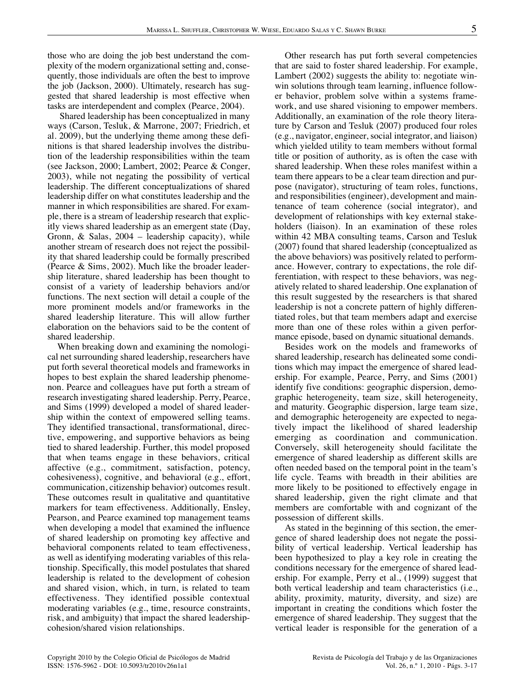those who are doing the job best understand the complexity of the modern organizational setting and, consequently, those individuals are often the best to improve the job (Jackson, 2000). Ultimately, research has suggested that shared leadership is most effective when tasks are interdependent and complex (Pearce, 2004).

Shared leadership has been conceptualized in many ways (Carson, Tesluk, & Marrone, 2007; Friedrich, et al. 2009), but the underlying theme among these definitions is that shared leadership involves the distribution of the leadership responsibilities within the team (see Jackson, 2000; Lambert, 2002; Pearce & Conger, 2003), while not negating the possibility of vertical leadership. The different conceptualizations of shared leadership differ on what constitutes leadership and the manner in which responsibilities are shared. For example, there is a stream of leadership research that explicitly views shared leadership as an emergent state (Day, Gronn, & Salas, 2004 – leadership capacity), while another stream of research does not reject the possibility that shared leadership could be formally prescribed (Pearce & Sims, 2002). Much like the broader leadership literature, shared leadership has been thought to consist of a variety of leadership behaviors and/or functions. The next section will detail a couple of the more prominent models and/or frameworks in the shared leadership literature. This will allow further elaboration on the behaviors said to be the content of shared leadership.

When breaking down and examining the nomological net surrounding shared leadership, researchers have put forth several theoretical models and frameworks in hopes to best explain the shared leadership phenomenon. Pearce and colleagues have put forth a stream of research investigating shared leadership. Perry, Pearce, and Sims (1999) developed a model of shared leadership within the context of empowered selling teams. They identified transactional, transformational, directive, empowering, and supportive behaviors as being tied to shared leadership. Further, this model proposed that when teams engage in these behaviors, critical affective (e.g., commitment, satisfaction, potency, cohesiveness), cognitive, and behavioral (e.g., effort, communication, citizenship behavior) outcomes result. These outcomes result in qualitative and quantitative markers for team effectiveness. Additionally, Ensley, Pearson, and Pearce examined top management teams when developing a model that examined the influence of shared leadership on promoting key affective and behavioral components related to team effectiveness, as well as identifying moderating variables of this relationship. Specifically, this model postulates that shared leadership is related to the development of cohesion and shared vision, which, in turn, is related to team effectiveness. They identified possible contextual moderating variables (e.g., time, resource constraints, risk, and ambiguity) that impact the shared leadershipcohesion/shared vision relationships.

Other research has put forth several competencies that are said to foster shared leadership. For example, Lambert (2002) suggests the ability to: negotiate winwin solutions through team learning, influence follower behavior, problem solve within a systems framework, and use shared visioning to empower members. Additionally, an examination of the role theory literature by Carson and Tesluk (2007) produced four roles (e.g., navigator, engineer, social integrator, and liaison) which yielded utility to team members without formal title or position of authority, as is often the case with shared leadership. When these roles manifest within a team there appears to be a clear team direction and purpose (navigator), structuring of team roles, functions, and responsibilities (engineer), development and maintenance of team coherence (social integrator), and development of relationships with key external stakeholders (liaison). In an examination of these roles within 42 MBA consulting teams, Carson and Tesluk (2007) found that shared leadership (conceptualized as the above behaviors) was positively related to performance. However, contrary to expectations, the role differentiation, with respect to these behaviors, was negatively related to shared leadership. One explanation of this result suggested by the researchers is that shared leadership is not a concrete pattern of highly differentiated roles, but that team members adapt and exercise more than one of these roles within a given performance episode, based on dynamic situational demands.

Besides work on the models and frameworks of shared leadership, research has delineated some conditions which may impact the emergence of shared leadership. For example, Pearce, Perry, and Sims (2001) identify five conditions: geographic dispersion, demographic heterogeneity, team size, skill heterogeneity, and maturity. Geographic dispersion, large team size, and demographic heterogeneity are expected to negatively impact the likelihood of shared leadership emerging as coordination and communication. Conversely, skill heterogeneity should facilitate the emergence of shared leadership as different skills are often needed based on the temporal point in the team's life cycle. Teams with breadth in their abilities are more likely to be positioned to effectively engage in shared leadership, given the right climate and that members are comfortable with and cognizant of the possession of different skills.

As stated in the beginning of this section, the emergence of shared leadership does not negate the possibility of vertical leadership. Vertical leadership has been hypothesized to play a key role in creating the conditions necessary for the emergence of shared leadership. For example, Perry et al., (1999) suggest that both vertical leadership and team characteristics (i.e., ability, proximity, maturity, diversity, and size) are important in creating the conditions which foster the emergence of shared leadership. They suggest that the vertical leader is responsible for the generation of a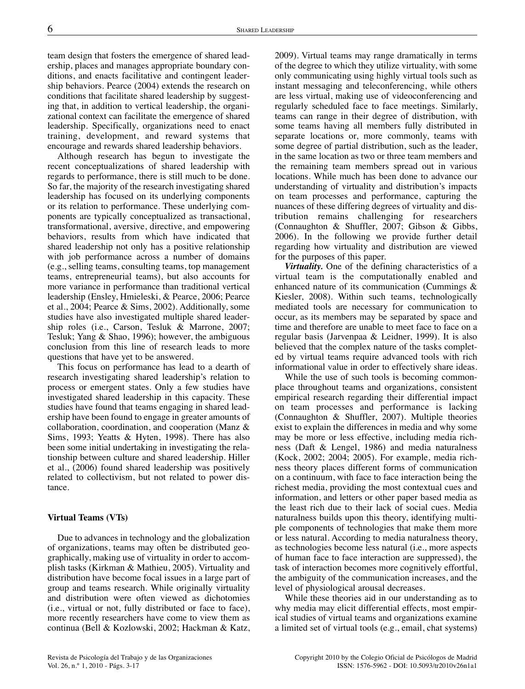team design that fosters the emergence of shared leadership, places and manages appropriate boundary conditions, and enacts facilitative and contingent leadership behaviors. Pearce (2004) extends the research on conditions that facilitate shared leadership by suggesting that, in addition to vertical leadership, the organizational context can facilitate the emergence of shared leadership. Specifically, organizations need to enact training, development, and reward systems that encourage and rewards shared leadership behaviors.

Although research has begun to investigate the recent conceptualizations of shared leadership with regards to performance, there is still much to be done. So far, the majority of the research investigating shared leadership has focused on its underlying components or its relation to performance. These underlying components are typically conceptualized as transactional, transformational, aversive, directive, and empowering behaviors, results from which have indicated that shared leadership not only has a positive relationship with job performance across a number of domains (e.g., selling teams, consulting teams, top management teams, entrepreneurial teams), but also accounts for more variance in performance than traditional vertical leadership (Ensley, Hmieleski, & Pearce, 2006; Pearce et al., 2004; Pearce & Sims, 2002). Additionally, some studies have also investigated multiple shared leadership roles (i.e., Carson, Tesluk & Marrone, 2007; Tesluk; Yang & Shao, 1996); however, the ambiguous conclusion from this line of research leads to more questions that have yet to be answered.

This focus on performance has lead to a dearth of research investigating shared leadership's relation to process or emergent states. Only a few studies have investigated shared leadership in this capacity. These studies have found that teams engaging in shared leadership have been found to engage in greater amounts of collaboration, coordination, and cooperation (Manz & Sims, 1993; Yeatts & Hyten, 1998). There has also been some initial undertaking in investigating the relationship between culture and shared leadership. Hiller et al., (2006) found shared leadership was positively related to collectivism, but not related to power distance.

#### **Virtual Teams (VTs)**

Due to advances in technology and the globalization of organizations, teams may often be distributed geographically, making use of virtuality in order to accomplish tasks (Kirkman & Mathieu, 2005). Virtuality and distribution have become focal issues in a large part of group and teams research. While originally virtuality and distribution were often viewed as dichotomies (i.e., virtual or not, fully distributed or face to face), more recently researchers have come to view them as continua (Bell & Kozlowski, 2002; Hackman & Katz, 2009). Virtual teams may range dramatically in terms of the degree to which they utilize virtuality, with some only communicating using highly virtual tools such as instant messaging and teleconferencing, while others are less virtual, making use of videoconferencing and regularly scheduled face to face meetings. Similarly, teams can range in their degree of distribution, with some teams having all members fully distributed in separate locations or, more commonly, teams with some degree of partial distribution, such as the leader, in the same location as two or three team members and the remaining team members spread out in various locations. While much has been done to advance our understanding of virtuality and distribution's impacts on team processes and performance, capturing the nuances of these differing degrees of virtuality and distribution remains challenging for researchers (Connaughton & Shuffler, 2007; Gibson & Gibbs, 2006). In the following we provide further detail regarding how virtuality and distribution are viewed for the purposes of this paper.

*Virtuality.* One of the defining characteristics of a virtual team is the computationally enabled and enhanced nature of its communication (Cummings & Kiesler, 2008). Within such teams, technologically mediated tools are necessary for communication to occur, as its members may be separated by space and time and therefore are unable to meet face to face on a regular basis (Jarvenpaa & Leidner, 1999). It is also believed that the complex nature of the tasks completed by virtual teams require advanced tools with rich informational value in order to effectively share ideas.

While the use of such tools is becoming commonplace throughout teams and organizations, consistent empirical research regarding their differential impact on team processes and performance is lacking (Connaughton & Shuffler, 2007). Multiple theories exist to explain the differences in media and why some may be more or less effective, including media richness (Daft & Lengel, 1986) and media naturalness (Kock, 2002; 2004; 2005). For example, media richness theory places different forms of communication on a continuum, with face to face interaction being the richest media, providing the most contextual cues and information, and letters or other paper based media as the least rich due to their lack of social cues. Media naturalness builds upon this theory, identifying multiple components of technologies that make them more or less natural. According to media naturalness theory, as technologies become less natural (i.e., more aspects of human face to face interaction are suppressed), the task of interaction becomes more cognitively effortful, the ambiguity of the communication increases, and the level of physiological arousal decreases.

While these theories aid in our understanding as to why media may elicit differential effects, most empirical studies of virtual teams and organizations examine a limited set of virtual tools (e.g., email, chat systems)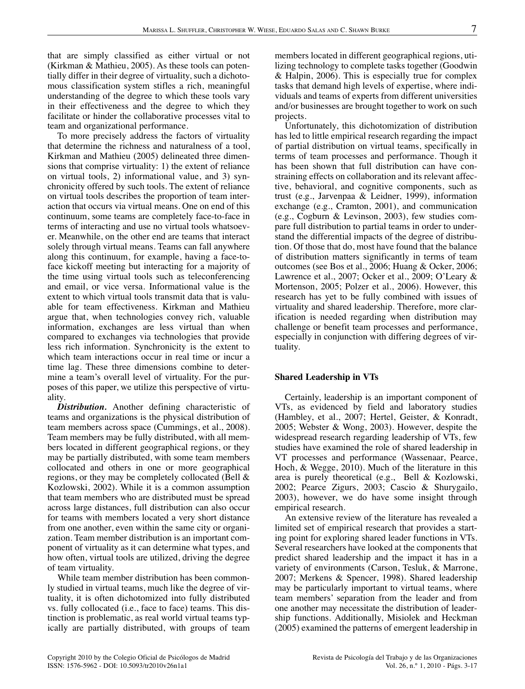that are simply classified as either virtual or not (Kirkman & Mathieu, 2005). As these tools can potentially differ in their degree of virtuality, such a dichotomous classification system stifles a rich, meaningful understanding of the degree to which these tools vary in their effectiveness and the degree to which they facilitate or hinder the collaborative processes vital to team and organizational performance.

To more precisely address the factors of virtuality that determine the richness and naturalness of a tool, Kirkman and Mathieu (2005) delineated three dimensions that comprise virtuality: 1) the extent of reliance on virtual tools, 2) informational value, and 3) synchronicity offered by such tools. The extent of reliance on virtual tools describes the proportion of team interaction that occurs via virtual means. One on end of this continuum, some teams are completely face-to-face in terms of interacting and use no virtual tools whatsoever. Meanwhile, on the other end are teams that interact solely through virtual means. Teams can fall anywhere along this continuum, for example, having a face-toface kickoff meeting but interacting for a majority of the time using virtual tools such as teleconferencing and email, or vice versa. Informational value is the extent to which virtual tools transmit data that is valuable for team effectiveness. Kirkman and Mathieu argue that, when technologies convey rich, valuable information, exchanges are less virtual than when compared to exchanges via technologies that provide less rich information. Synchronicity is the extent to which team interactions occur in real time or incur a time lag. These three dimensions combine to determine a team's overall level of virtuality. For the purposes of this paper, we utilize this perspective of virtuality.

*Distribution.* Another defining characteristic of teams and organizations is the physical distribution of team members across space (Cummings, et al., 2008). Team members may be fully distributed, with all members located in different geographical regions, or they may be partially distributed, with some team members collocated and others in one or more geographical regions, or they may be completely collocated (Bell & Kozlowski, 2002). While it is a common assumption that team members who are distributed must be spread across large distances, full distribution can also occur for teams with members located a very short distance from one another, even within the same city or organization. Team member distribution is an important component of virtuality as it can determine what types, and how often, virtual tools are utilized, driving the degree of team virtuality.

While team member distribution has been commonly studied in virtual teams, much like the degree of virtuality, it is often dichotomized into fully distributed vs. fully collocated (i.e., face to face) teams. This distinction is problematic, as real world virtual teams typically are partially distributed, with groups of team members located in different geographical regions, utilizing technology to complete tasks together (Goodwin & Halpin, 2006). This is especially true for complex tasks that demand high levels of expertise, where individuals and teams of experts from different universities and/or businesses are brought together to work on such projects.

Unfortunately, this dichotomization of distribution has led to little empirical research regarding the impact of partial distribution on virtual teams, specifically in terms of team processes and performance. Though it has been shown that full distribution can have constraining effects on collaboration and its relevant affective, behavioral, and cognitive components, such as trust (e.g., Jarvenpaa & Leidner, 1999), information exchange (e.g., Cramton, 2001), and communication (e.g., Cogburn & Levinson, 2003), few studies compare full distribution to partial teams in order to understand the differential impacts of the degree of distribution. Of those that do, most have found that the balance of distribution matters significantly in terms of team outcomes (see Bos et al., 2006; Huang & Ocker, 2006; Lawrence et al., 2007; Ocker et al., 2009; O'Leary & Mortenson, 2005; Polzer et al., 2006). However, this research has yet to be fully combined with issues of virtuality and shared leadership. Therefore, more clarification is needed regarding when distribution may challenge or benefit team processes and performance, especially in conjunction with differing degrees of virtuality.

#### **Shared Leadership in VTs**

Certainly, leadership is an important component of VTs, as evidenced by field and laboratory studies (Hambley, et al., 2007; Hertel, Geister, & Konradt, 2005; Webster & Wong, 2003). However, despite the widespread research regarding leadership of VTs, few studies have examined the role of shared leadership in VT processes and performance (Wassenaar, Pearce, Hoch, & Wegge, 2010). Much of the literature in this area is purely theoretical (e.g., Bell & Kozlowski, 2002; Pearce Zigurs, 2003; Cascio & Shurygailo, 2003), however, we do have some insight through empirical research.

An extensive review of the literature has revealed a limited set of empirical research that provides a starting point for exploring shared leader functions in VTs. Several researchers have looked at the components that predict shared leadership and the impact it has in a variety of environments (Carson, Tesluk, & Marrone, 2007; Merkens & Spencer, 1998). Shared leadership may be particularly important to virtual teams, where team members' separation from the leader and from one another may necessitate the distribution of leadership functions. Additionally, Misiolek and Heckman (2005) examined the patterns of emergent leadership in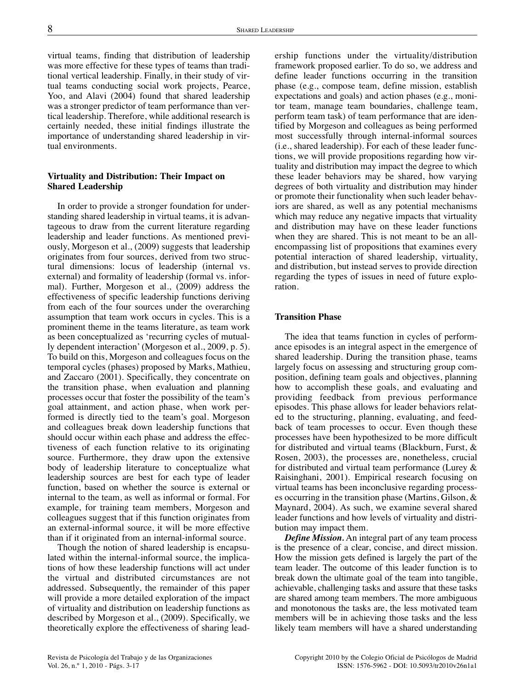virtual teams, finding that distribution of leadership was more effective for these types of teams than traditional vertical leadership. Finally, in their study of virtual teams conducting social work projects, Pearce, Yoo, and Alavi (2004) found that shared leadership was a stronger predictor of team performance than vertical leadership. Therefore, while additional research is certainly needed, these initial findings illustrate the importance of understanding shared leadership in virtual environments.

### **Virtuality and Distribution: Their Impact on Shared Leadership**

In order to provide a stronger foundation for understanding shared leadership in virtual teams, it is advantageous to draw from the current literature regarding leadership and leader functions. As mentioned previously, Morgeson et al., (2009) suggests that leadership originates from four sources, derived from two structural dimensions: locus of leadership (internal vs. external) and formality of leadership (formal vs. informal). Further, Morgeson et al., (2009) address the effectiveness of specific leadership functions deriving from each of the four sources under the overarching assumption that team work occurs in cycles. This is a prominent theme in the teams literature, as team work as been conceptualized as 'recurring cycles of mutually dependent interaction' (Morgeson et al., 2009, p. 5). To build on this, Morgeson and colleagues focus on the temporal cycles (phases) proposed by Marks, Mathieu, and Zaccaro (2001). Specifically, they concentrate on the transition phase, when evaluation and planning processes occur that foster the possibility of the team's goal attainment, and action phase, when work performed is directly tied to the team's goal. Morgeson and colleagues break down leadership functions that should occur within each phase and address the effectiveness of each function relative to its originating source. Furthermore, they draw upon the extensive body of leadership literature to conceptualize what leadership sources are best for each type of leader function, based on whether the source is external or internal to the team, as well as informal or formal. For example, for training team members, Morgeson and colleagues suggest that if this function originates from an external-informal source, it will be more effective than if it originated from an internal-informal source.

Though the notion of shared leadership is encapsulated within the internal-informal source, the implications of how these leadership functions will act under the virtual and distributed circumstances are not addressed. Subsequently, the remainder of this paper will provide a more detailed exploration of the impact of virtuality and distribution on leadership functions as described by Morgeson et al., (2009). Specifically, we theoretically explore the effectiveness of sharing leadership functions under the virtuality/distribution framework proposed earlier. To do so, we address and define leader functions occurring in the transition phase (e.g., compose team, define mission, establish expectations and goals) and action phases (e.g., monitor team, manage team boundaries, challenge team, perform team task) of team performance that are identified by Morgeson and colleagues as being performed most successfully through internal-informal sources (i.e., shared leadership). For each of these leader functions, we will provide propositions regarding how virtuality and distribution may impact the degree to which these leader behaviors may be shared, how varying degrees of both virtuality and distribution may hinder or promote their functionality when such leader behaviors are shared, as well as any potential mechanisms which may reduce any negative impacts that virtuality and distribution may have on these leader functions when they are shared. This is not meant to be an allencompassing list of propositions that examines every potential interaction of shared leadership, virtuality, and distribution, but instead serves to provide direction regarding the types of issues in need of future exploration.

#### **Transition Phase**

The idea that teams function in cycles of performance episodes is an integral aspect in the emergence of shared leadership. During the transition phase, teams largely focus on assessing and structuring group composition, defining team goals and objectives, planning how to accomplish these goals, and evaluating and providing feedback from previous performance episodes. This phase allows for leader behaviors related to the structuring, planning, evaluating, and feedback of team processes to occur. Even though these processes have been hypothesized to be more difficult for distributed and virtual teams (Blackburn, Furst, & Rosen, 2003), the processes are, nonetheless, crucial for distributed and virtual team performance (Lurey & Raisinghani, 2001). Empirical research focusing on virtual teams has been inconclusive regarding processes occurring in the transition phase (Martins, Gilson, & Maynard, 2004). As such, we examine several shared leader functions and how levels of virtuality and distribution may impact them.

*Define Mission.* An integral part of any team process is the presence of a clear, concise, and direct mission. How the mission gets defined is largely the part of the team leader. The outcome of this leader function is to break down the ultimate goal of the team into tangible, achievable, challenging tasks and assure that these tasks are shared among team members. The more ambiguous and monotonous the tasks are, the less motivated team members will be in achieving those tasks and the less likely team members will have a shared understanding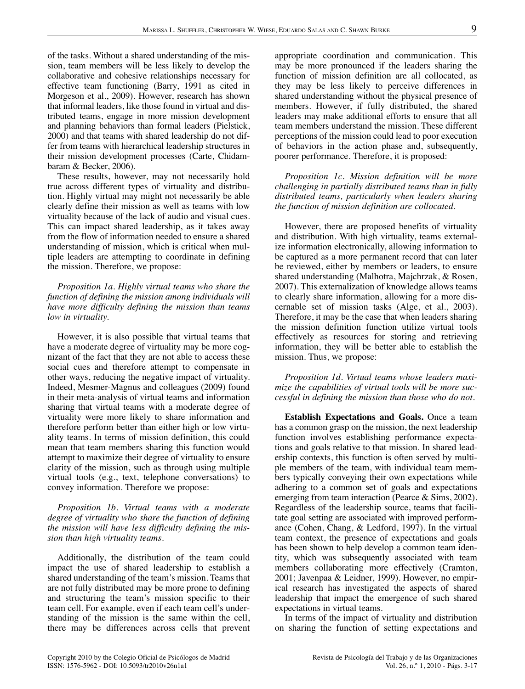of the tasks. Without a shared understanding of the mission, team members will be less likely to develop the collaborative and cohesive relationships necessary for effective team functioning (Barry, 1991 as cited in Morgeson et al., 2009). However, research has shown that informal leaders, like those found in virtual and distributed teams, engage in more mission development and planning behaviors than formal leaders (Pielstick, 2000) and that teams with shared leadership do not differ from teams with hierarchical leadership structures in their mission development processes (Carte, Chidambaram & Becker, 2006).

These results, however, may not necessarily hold true across different types of virtuality and distribution. Highly virtual may might not necessarily be able clearly define their mission as well as teams with low virtuality because of the lack of audio and visual cues. This can impact shared leadership, as it takes away from the flow of information needed to ensure a shared understanding of mission, which is critical when multiple leaders are attempting to coordinate in defining the mission. Therefore, we propose:

*Proposition 1a. Highly virtual teams who share the function of defining the mission among individuals will have more difficulty defining the mission than teams low in virtuality.*

However, it is also possible that virtual teams that have a moderate degree of virtuality may be more cognizant of the fact that they are not able to access these social cues and therefore attempt to compensate in other ways, reducing the negative impact of virtuality. Indeed, Mesmer-Magnus and colleagues (2009) found in their meta-analysis of virtual teams and information sharing that virtual teams with a moderate degree of virtuality were more likely to share information and therefore perform better than either high or low virtuality teams. In terms of mission definition, this could mean that team members sharing this function would attempt to maximize their degree of virtuality to ensure clarity of the mission, such as through using multiple virtual tools (e.g., text, telephone conversations) to convey information. Therefore we propose:

*Proposition 1b. Virtual teams with a moderate degree of virtuality who share the function of defining the mission will have less difficulty defining the mission than high virtuality teams.*

Additionally, the distribution of the team could impact the use of shared leadership to establish a shared understanding of the team's mission. Teams that are not fully distributed may be more prone to defining and structuring the team's mission specific to their team cell. For example, even if each team cell's understanding of the mission is the same within the cell, there may be differences across cells that prevent appropriate coordination and communication. This may be more pronounced if the leaders sharing the function of mission definition are all collocated, as they may be less likely to perceive differences in shared understanding without the physical presence of members. However, if fully distributed, the shared leaders may make additional efforts to ensure that all team members understand the mission. These different perceptions of the mission could lead to poor execution of behaviors in the action phase and, subsequently, poorer performance. Therefore, it is proposed:

*Proposition 1c. Mission definition will be more challenging in partially distributed teams than in fully distributed teams, particularly when leaders sharing the function of mission definition are collocated.*

However, there are proposed benefits of virtuality and distribution. With high virtuality, teams externalize information electronically, allowing information to be captured as a more permanent record that can later be reviewed, either by members or leaders, to ensure shared understanding (Malhotra, Majchrzak, & Rosen, 2007). This externalization of knowledge allows teams to clearly share information, allowing for a more discernable set of mission tasks (Alge, et al., 2003). Therefore, it may be the case that when leaders sharing the mission definition function utilize virtual tools effectively as resources for storing and retrieving information, they will be better able to establish the mission. Thus, we propose:

*Proposition 1d. Virtual teams whose leaders maximize the capabilities of virtual tools will be more successful in defining the mission than those who do not.*

**Establish Expectations and Goals.** Once a team has a common grasp on the mission, the next leadership function involves establishing performance expectations and goals relative to that mission. In shared leadership contexts, this function is often served by multiple members of the team, with individual team members typically conveying their own expectations while adhering to a common set of goals and expectations emerging from team interaction (Pearce & Sims, 2002). Regardless of the leadership source, teams that facilitate goal setting are associated with improved performance (Cohen, Chang, & Ledford, 1997). In the virtual team context, the presence of expectations and goals has been shown to help develop a common team identity, which was subsequently associated with team members collaborating more effectively (Cramton, 2001; Javenpaa & Leidner, 1999). However, no empirical research has investigated the aspects of shared leadership that impact the emergence of such shared expectations in virtual teams.

In terms of the impact of virtuality and distribution on sharing the function of setting expectations and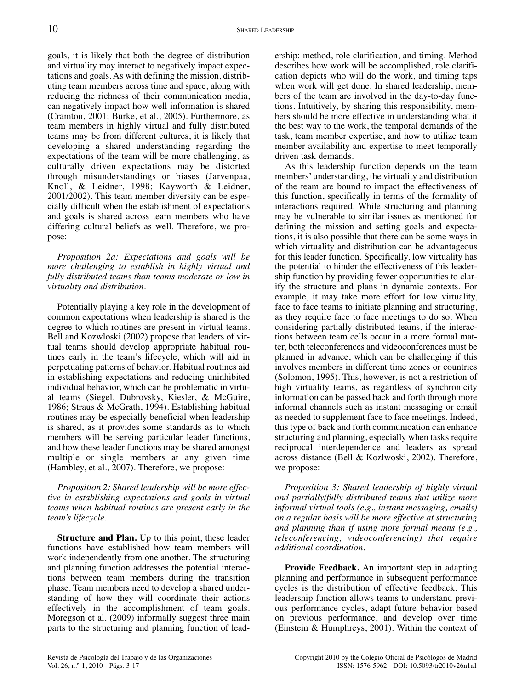goals, it is likely that both the degree of distribution and virtuality may interact to negatively impact expectations and goals. As with defining the mission, distributing team members across time and space, along with reducing the richness of their communication media, can negatively impact how well information is shared (Cramton, 2001; Burke, et al., 2005). Furthermore, as team members in highly virtual and fully distributed teams may be from different cultures, it is likely that developing a shared understanding regarding the expectations of the team will be more challenging, as culturally driven expectations may be distorted through misunderstandings or biases (Jarvenpaa, Knoll, & Leidner, 1998; Kayworth & Leidner, 2001/2002). This team member diversity can be especially difficult when the establishment of expectations and goals is shared across team members who have differing cultural beliefs as well. Therefore, we propose:

*Proposition 2a: Expectations and goals will be more challenging to establish in highly virtual and fully distributed teams than teams moderate or low in virtuality and distribution.*

Potentially playing a key role in the development of common expectations when leadership is shared is the degree to which routines are present in virtual teams. Bell and Kozwloski (2002) propose that leaders of virtual teams should develop appropriate habitual routines early in the team's lifecycle, which will aid in perpetuating patterns of behavior. Habitual routines aid in establishing expectations and reducing uninhibited individual behavior, which can be problematic in virtual teams (Siegel, Dubrovsky, Kiesler, & McGuire, 1986; Straus & McGrath, 1994). Establishing habitual routines may be especially beneficial when leadership is shared, as it provides some standards as to which members will be serving particular leader functions, and how these leader functions may be shared amongst multiple or single members at any given time (Hambley, et al., 2007). Therefore, we propose:

*Proposition 2: Shared leadership will be more effective in establishing expectations and goals in virtual teams when habitual routines are present early in the team's lifecycle.*

**Structure and Plan.** Up to this point, these leader functions have established how team members will work independently from one another. The structuring and planning function addresses the potential interactions between team members during the transition phase. Team members need to develop a shared understanding of how they will coordinate their actions effectively in the accomplishment of team goals. Moregson et al. (2009) informally suggest three main parts to the structuring and planning function of leadership: method, role clarification, and timing. Method describes how work will be accomplished, role clarification depicts who will do the work, and timing taps when work will get done. In shared leadership, members of the team are involved in the day-to-day functions. Intuitively, by sharing this responsibility, members should be more effective in understanding what it the best way to the work, the temporal demands of the task, team member expertise, and how to utilize team member availability and expertise to meet temporally driven task demands.

As this leadership function depends on the team members' understanding, the virtuality and distribution of the team are bound to impact the effectiveness of this function, specifically in terms of the formality of interactions required. While structuring and planning may be vulnerable to similar issues as mentioned for defining the mission and setting goals and expectations, it is also possible that there can be some ways in which virtuality and distribution can be advantageous for this leader function. Specifically, low virtuality has the potential to hinder the effectiveness of this leadership function by providing fewer opportunities to clarify the structure and plans in dynamic contexts. For example, it may take more effort for low virtuality, face to face teams to initiate planning and structuring, as they require face to face meetings to do so. When considering partially distributed teams, if the interactions between team cells occur in a more formal matter, both teleconferences and videoconferences must be planned in advance, which can be challenging if this involves members in different time zones or countries (Solomon, 1995). This, however, is not a restriction of high virtuality teams, as regardless of synchronicity information can be passed back and forth through more informal channels such as instant messaging or email as needed to supplement face to face meetings. Indeed, this type of back and forth communication can enhance structuring and planning, especially when tasks require reciprocal interdependence and leaders as spread across distance (Bell & Kozlwoski, 2002). Therefore, we propose:

*Proposition 3: Shared leadership of highly virtual and partially/fully distributed teams that utilize more informal virtual tools (e.g., instant messaging, emails) on a regular basis will be more effective at structuring and planning than if using more formal means (e.g., teleconferencing, videoconferencing) that require additional coordination.*

**Provide Feedback.** An important step in adapting planning and performance in subsequent performance cycles is the distribution of effective feedback. This leadership function allows teams to understand previous performance cycles, adapt future behavior based on previous performance, and develop over time (Einstein & Humphreys, 2001). Within the context of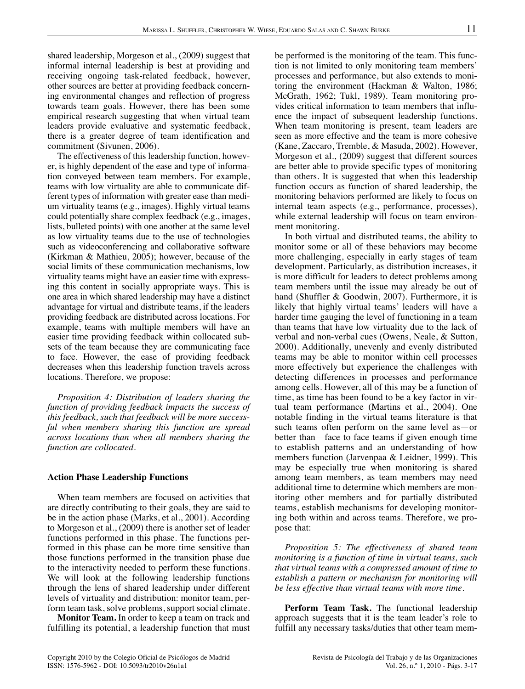shared leadership, Morgeson et al., (2009) suggest that informal internal leadership is best at providing and receiving ongoing task-related feedback, however, other sources are better at providing feedback concerning environmental changes and reflection of progress towards team goals. However, there has been some empirical research suggesting that when virtual team leaders provide evaluative and systematic feedback, there is a greater degree of team identification and commitment (Sivunen, 2006).

The effectiveness of this leadership function, however, is highly dependent of the ease and type of information conveyed between team members. For example, teams with low virtuality are able to communicate different types of information with greater ease than medium virtuality teams (e.g., images). Highly virtual teams could potentially share complex feedback (e.g., images, lists, bulleted points) with one another at the same level as low virtuality teams due to the use of technologies such as videoconferencing and collaborative software (Kirkman & Mathieu, 2005); however, because of the social limits of these communication mechanisms, low virtuality teams might have an easier time with expressing this content in socially appropriate ways. This is one area in which shared leadership may have a distinct advantage for virtual and distribute teams, if the leaders providing feedback are distributed across locations. For example, teams with multiple members will have an easier time providing feedback within collocated subsets of the team because they are communicating face to face. However, the ease of providing feedback decreases when this leadership function travels across locations. Therefore, we propose:

*Proposition 4: Distribution of leaders sharing the function of providing feedback impacts the success of this feedback, such that feedback will be more successful when members sharing this function are spread across locations than when all members sharing the function are collocated.*

#### **Action Phase Leadership Functions**

When team members are focused on activities that are directly contributing to their goals, they are said to be in the action phase (Marks, et al., 2001). According to Morgeson et al., (2009) there is another set of leader functions performed in this phase. The functions performed in this phase can be more time sensitive than those functions performed in the transition phase due to the interactivity needed to perform these functions. We will look at the following leadership functions through the lens of shared leadership under different levels of virtuality and distribution: monitor team, perform team task, solve problems, support social climate.

**Monitor Team.** In order to keep a team on track and fulfilling its potential, a leadership function that must be performed is the monitoring of the team. This function is not limited to only monitoring team members' processes and performance, but also extends to monitoring the environment (Hackman & Walton, 1986; McGrath, 1962; Tukl, 1989). Team monitoring provides critical information to team members that influence the impact of subsequent leadership functions. When team monitoring is present, team leaders are seen as more effective and the team is more cohesive (Kane, Zaccaro, Tremble, & Masuda, 2002). However, Morgeson et al., (2009) suggest that different sources are better able to provide specific types of monitoring than others. It is suggested that when this leadership function occurs as function of shared leadership, the monitoring behaviors performed are likely to focus on internal team aspects (e.g., performance, processes), while external leadership will focus on team environment monitoring.

In both virtual and distributed teams, the ability to monitor some or all of these behaviors may become more challenging, especially in early stages of team development. Particularly, as distribution increases, it is more difficult for leaders to detect problems among team members until the issue may already be out of hand (Shuffler & Goodwin, 2007). Furthermore, it is likely that highly virtual teams' leaders will have a harder time gauging the level of functioning in a team than teams that have low virtuality due to the lack of verbal and non-verbal cues (Owens, Neale, & Sutton, 2000). Additionally, unevenly and evenly distributed teams may be able to monitor within cell processes more effectively but experience the challenges with detecting differences in processes and performance among cells. However, all of this may be a function of time, as time has been found to be a key factor in virtual team performance (Martins et al., 2004). One notable finding in the virtual teams literature is that such teams often perform on the same level as—or better than—face to face teams if given enough time to establish patterns and an understanding of how members function (Jarvenpaa & Leidner, 1999). This may be especially true when monitoring is shared among team members, as team members may need additional time to determine which members are monitoring other members and for partially distributed teams, establish mechanisms for developing monitoring both within and across teams. Therefore, we propose that:

*Proposition 5: The effectiveness of shared team monitoring is a function of time in virtual teams, such that virtual teams with a compressed amount of time to establish a pattern or mechanism for monitoring will be less effective than virtual teams with more time.*

**Perform Team Task.** The functional leadership approach suggests that it is the team leader's role to fulfill any necessary tasks/duties that other team mem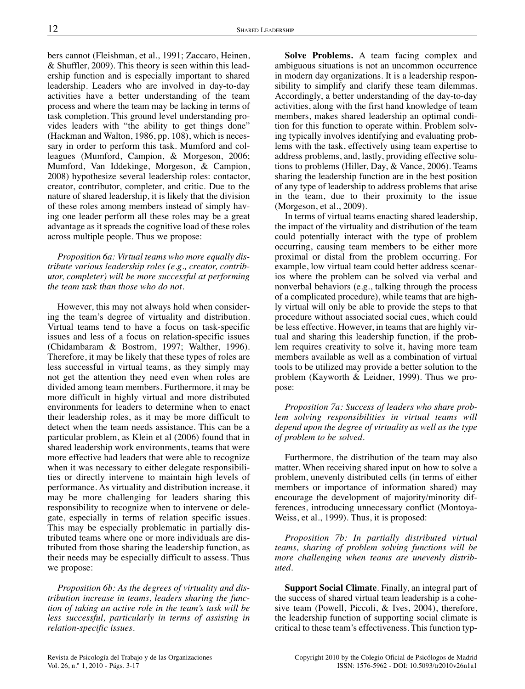bers cannot (Fleishman, et al., 1991; Zaccaro, Heinen, & Shuffler, 2009). This theory is seen within this leadership function and is especially important to shared leadership. Leaders who are involved in day-to-day activities have a better understanding of the team process and where the team may be lacking in terms of task completion. This ground level understanding provides leaders with "the ability to get things done" (Hackman and Walton, 1986, pp. 108), which is necessary in order to perform this task. Mumford and colleagues (Mumford, Campion, & Morgeson, 2006; Mumford, Van Iddekinge, Morgeson, & Campion, 2008) hypothesize several leadership roles: contactor, creator, contributor, completer, and critic. Due to the nature of shared leadership, it is likely that the division of these roles among members instead of simply having one leader perform all these roles may be a great advantage as it spreads the cognitive load of these roles across multiple people. Thus we propose:

*Proposition 6a: Virtual teams who more equally distribute various leadership roles (e.g., creator, contributor, completer) will be more successful at performing the team task than those who do not.*

However, this may not always hold when considering the team's degree of virtuality and distribution. Virtual teams tend to have a focus on task-specific issues and less of a focus on relation-specific issues (Chidambaram & Bostrom, 1997; Walther, 1996). Therefore, it may be likely that these types of roles are less successful in virtual teams, as they simply may not get the attention they need even when roles are divided among team members. Furthermore, it may be more difficult in highly virtual and more distributed environments for leaders to determine when to enact their leadership roles, as it may be more difficult to detect when the team needs assistance. This can be a particular problem, as Klein et al (2006) found that in shared leadership work environments, teams that were more effective had leaders that were able to recognize when it was necessary to either delegate responsibilities or directly intervene to maintain high levels of performance. As virtuality and distribution increase, it may be more challenging for leaders sharing this responsibility to recognize when to intervene or delegate, especially in terms of relation specific issues. This may be especially problematic in partially distributed teams where one or more individuals are distributed from those sharing the leadership function, as their needs may be especially difficult to assess. Thus we propose:

*Proposition 6b: As the degrees of virtuality and distribution increase in teams, leaders sharing the function of taking an active role in the team's task will be less successful, particularly in terms of assisting in relation-specific issues.*

**Solve Problems.** A team facing complex and ambiguous situations is not an uncommon occurrence in modern day organizations. It is a leadership responsibility to simplify and clarify these team dilemmas. Accordingly, a better understanding of the day-to-day activities, along with the first hand knowledge of team members, makes shared leadership an optimal condition for this function to operate within. Problem solving typically involves identifying and evaluating problems with the task, effectively using team expertise to address problems, and, lastly, providing effective solutions to problems (Hiller, Day, & Vance, 2006). Teams sharing the leadership function are in the best position of any type of leadership to address problems that arise in the team, due to their proximity to the issue (Morgeson, et al., 2009).

In terms of virtual teams enacting shared leadership, the impact of the virtuality and distribution of the team could potentially interact with the type of problem occurring, causing team members to be either more proximal or distal from the problem occurring. For example, low virtual team could better address scenarios where the problem can be solved via verbal and nonverbal behaviors (e.g., talking through the process of a complicated procedure), while teams that are highly virtual will only be able to provide the steps to that procedure without associated social cues, which could be less effective. However, in teams that are highly virtual and sharing this leadership function, if the problem requires creativity to solve it, having more team members available as well as a combination of virtual tools to be utilized may provide a better solution to the problem (Kayworth & Leidner, 1999). Thus we propose:

*Proposition 7a: Success of leaders who share problem solving responsibilities in virtual teams will depend upon the degree of virtuality as well as the type of problem to be solved.*

Furthermore, the distribution of the team may also matter. When receiving shared input on how to solve a problem, unevenly distributed cells (in terms of either members or importance of information shared) may encourage the development of majority/minority differences, introducing unnecessary conflict (Montoya-Weiss, et al., 1999). Thus, it is proposed:

*Proposition 7b: In partially distributed virtual teams, sharing of problem solving functions will be more challenging when teams are unevenly distributed.*

**Support Social Climate**. Finally, an integral part of the success of shared virtual team leadership is a cohesive team (Powell, Piccoli, & Ives, 2004), therefore, the leadership function of supporting social climate is critical to these team's effectiveness. This function typ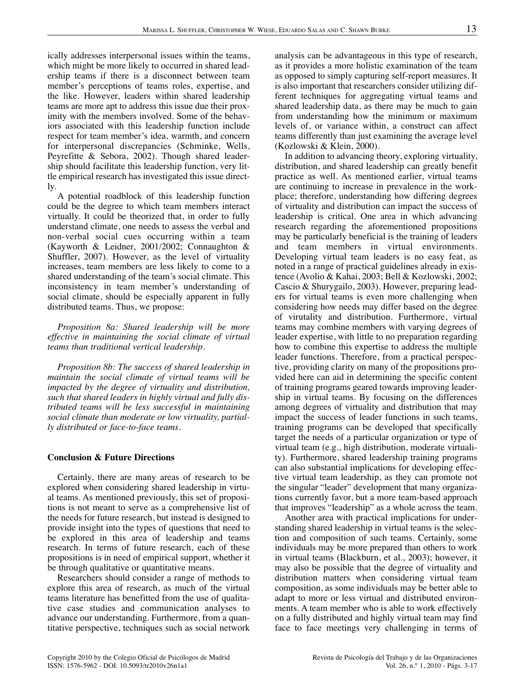ically addresses interpersonal issues within the teams, which might be more likely to occurred in shared leadership teams if there is a disconnect between team member's perceptions of teams roles, expertise, and the like. However, leaders within shared leadership teams are more apt to address this issue due their proximity with the members involved. Some of the behaviors associated with this leadership function include respect for team member's idea, warmth, and concern for interpersonal discrepancies (Schminke, Wells, Peyrefitte & Sebora, 2002). Though shared leadership should facilitate this leadership function, very little empirical research has investigated this issue directly.

A potential roadblock of this leadership function could be the degree to which team members interact virtually. It could be theorized that, in order to fully understand climate, one needs to assess the verbal and non-verbal social cues occurring within a team (Kayworth & Leidner, 2001/2002; Connaughton & Shuffler, 2007). However, as the level of virtuality increases, team members are less likely to come to a shared understanding of the team's social climate. This inconsistency in team member's understanding of social climate, should be especially apparent in fully distributed teams. Thus, we propose:

*Proposition 8a: Shared leadership will be more effective in maintaining the social climate of virtual teams than traditional vertical leadership.*

*Proposition 8b: The success of shared leadership in maintain the social climate of virtual teams will be impacted by the degree of virtuality and distribution, such that shared leaders in highly virtual and fully distributed teams will be less successful in maintaining social climate than moderate or low virtuality, partially distributed or face-to-face teams.*

#### **Conclusion & Future Directions**

Certainly, there are many areas of research to be explored when considering shared leadership in virtual teams. As mentioned previously, this set of propositions is not meant to serve as a comprehensive list of the needs for future research, but instead is designed to provide insight into the types of questions that need to be explored in this area of leadership and teams research. In terms of future research, each of these propositions is in need of empirical support, whether it be through qualitative or quantitative means.

Researchers should consider a range of methods to explore this area of research, as much of the virtual teams literature has benefitted from the use of qualitative case studies and communication analyses to advance our understanding. Furthermore, from a quantitative perspective, techniques such as social network analysis can be advantageous in this type of research, as it provides a more holistic examination of the team as opposed to simply capturing self-report measures. It is also important that researchers consider utilizing different techniques for aggregating virtual teams and shared leadership data, as there may be much to gain from understanding how the minimum or maximum levels of, or variance within, a construct can affect teams differently than just examining the average level (Kozlowski & Klein, 2000).

In addition to advancing theory, exploring virtuality, distribution, and shared leadership can greatly benefit practice as well. As mentioned earlier, virtual teams are continuing to increase in prevalence in the workplace; therefore, understanding how differing degrees of virtuality and distribution can impact the success of leadership is critical. One area in which advancing research regarding the aforementioned propositions may be particularly beneficial is the training of leaders and team members in virtual environments. Developing virtual team leaders is no easy feat, as noted in a range of practical guidelines already in existence (Avolio & Kahai, 2003; Bell & Kozlowski, 2002; Cascio & Shurygailo, 2003). However, preparing leaders for virtual teams is even more challenging when considering how needs may differ based on the degree of virutality and distribution. Furthermore, virtual teams may combine members with varying degrees of leader expertise, with little to no preparation regarding how to combine this expertise to address the multiple leader functions. Therefore, from a practical perspective, providing clarity on many of the propositions provided here can aid in determining the specific content of training programs geared towards improving leadership in virtual teams. By focusing on the differences among degrees of virtuality and distribution that may impact the success of leader functions in such teams, training programs can be developed that specifically target the needs of a particular organization or type of virtual team (e.g., high distribution, moderate virtuality). Furthermore, shared leadership training programs can also substantial implications for developing effective virtual team leadership, as they can promote not the singular "leader" development that many organizations currently favor, but a more team-based approach that improves "leadership" as a whole across the team.

Another area with practical implications for understanding shared leadership in virtual teams is the selection and composition of such teams. Certainly, some individuals may be more prepared than others to work in virtual teams (Blackburn, et al., 2003); however, it may also be possible that the degree of virtuality and distribution matters when considering virtual team composition, as some individuals may be better able to adapt to more or less virtual and distributed environments. A team member who is able to work effectively on a fully distributed and highly virtual team may find face to face meetings very challenging in terms of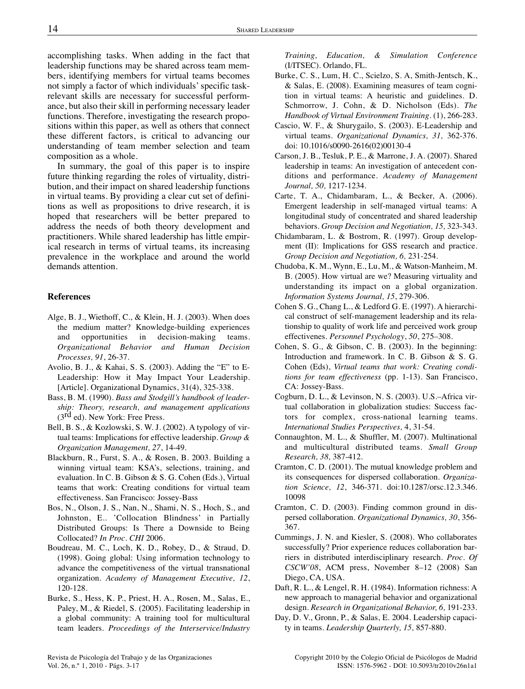accomplishing tasks. When adding in the fact that leadership functions may be shared across team members, identifying members for virtual teams becomes not simply a factor of which individuals' specific taskrelevant skills are necessary for successful performance, but also their skill in performing necessary leader functions. Therefore, investigating the research propositions within this paper, as well as others that connect these different factors, is critical to advancing our understanding of team member selection and team composition as a whole.

In summary, the goal of this paper is to inspire future thinking regarding the roles of virtuality, distribution, and their impact on shared leadership functions in virtual teams. By providing a clear cut set of definitions as well as propositions to drive research, it is hoped that researchers will be better prepared to address the needs of both theory development and practitioners. While shared leadership has little empirical research in terms of virtual teams, its increasing prevalence in the workplace and around the world demands attention.

#### **References**

- Alge, B. J., Wiethoff, C., & Klein, H. J. (2003). When does the medium matter? Knowledge-building experiences and opportunities in decision-making teams. *Organizational Behavior and Human Decision Processes, 91*, 26-37.
- Avolio, B. J., & Kahai, S. S. (2003). Adding the "E" to E-Leadership: How it May Impact Your Leadership. [Article]. Organizational Dynamics, 31(4), 325-338.
- Bass, B. M. (1990). *Bass and Stodgill's handbook of leadership: Theory, research, and management applications*  $(3<sup>rd</sup>$  ed). New York: Free Press.
- Bell, B. S., & Kozlowski, S. W. J. (2002). A typology of virtual teams: Implications for effective leadership. *Group & Organization Management, 27*, 14-49.
- Blackburn, R., Furst, S. A., & Rosen, B. 2003. Building a winning virtual team: KSA's, selections, training, and evaluation. In C. B. Gibson & S. G. Cohen (Eds.), Virtual teams that work: Creating conditions for virtual team effectiveness. San Francisco: Jossey-Bass
- Bos, N., Olson, J. S., Nan, N., Shami, N. S., Hoch, S., and Johnston, E.. 'Collocation Blindness' in Partially Distributed Groups: Is There a Downside to Being Collocated? *In Proc. CHI* 2006.
- Boudreau, M. C., Loch, K. D., Robey, D., & Straud, D. (1998). Going global: Using information technology to advance the competitiveness of the virtual transnational organization. *Academy of Management Executive, 12*, 120-128.
- Burke, S., Hess, K. P., Priest, H. A., Rosen, M., Salas, E., Paley, M., & Riedel, S. (2005). Facilitating leadership in a global community: A training tool for multicultural team leaders. *Proceedings of the Interservice/Industry*

*Training, Education, & Simulation Conference* (I/ITSEC). Orlando, FL.

- Burke, C. S., Lum, H. C., Scielzo, S. A, Smith-Jentsch, K., & Salas, E. (2008). Examining measures of team cognition in virtual teams: A heuristic and guidelines. D. Schmorrow, J. Cohn, & D. Nicholson (Eds). *The Handbook of Virtual Environment Training*. (1), 266-283.
- Cascio, W. F., & Shurygailo, S. (2003). E-Leadership and virtual teams. *Organizational Dynamics, 31,* 362-376. doi: 10.1016/s0090-2616(02)00130-4
- Carson, J. B., Tesluk, P. E., & Marrone, J. A. (2007). Shared leadership in teams: An investigation of antecedent conditions and performance. *Academy of Management Journal, 50,* 1217-1234.
- Carte, T. A., Chidambaram, L., & Becker, A. (2006). Emergent leadership in self-managed virtual teams: A longitudinal study of concentrated and shared leadership behaviors. *Group Decision and Negotiation, 15,* 323-343.
- Chidambaram, L. & Bostrom, R. (1997). Group development (II): Implications for GSS research and practice. *Group Decision and Negotiation, 6,* 231-254.
- Chudoba, K. M., Wynn, E., Lu, M., & Watson-Manheim, M. B. (2005). How virtual are we? Measuring virtuality and understanding its impact on a global organization. *Information Systems Journal, 15*, 279-306.
- Cohen S. G., Chang L., & Ledford G. E. (1997). A hierarchical construct of self-management leadership and its relationship to quality of work life and perceived work group effectivenes. *Personnel Psychology*, *50*, 275–308.
- Cohen, S. G., & Gibson, C. B. (2003). In the beginning: Introduction and framework. In C. B. Gibson & S. G. Cohen (Eds), *Virtual teams that work: Creating conditions for team effectiveness* (pp. 1-13). San Francisco, CA: Jossey-Bass.
- Cogburn, D. L., & Levinson, N. S. (2003). U.S.–Africa virtual collaboration in globalization studies: Success factors for complex, cross-national learning teams. *International Studies Perspectives,* 4, 31-54.
- Connaughton, M. L., & Shuffler, M. (2007). Multinational and multicultural distributed teams. *Small Group Research, 38,* 387-412.
- Cramton, C. D. (2001). The mutual knowledge problem and its consequences for dispersed collaboration. *Organization Science, 12*, 346-371. doi:10.1287/orsc.12.3.346. 10098
- Cramton, C. D. (2003). Finding common ground in dispersed collaboration. *Organizational Dynamics, 30*, 356- 367.
- Cummings, J. N. and Kiesler, S. (2008). Who collaborates successfully? Prior experience reduces collaboration barriers in distributed interdisciplinary research. *Proc. Of CSCW'08*, ACM press, November 8–12 (2008) San Diego, CA, USA.
- Daft, R. L., & Lengel, R. H. (1984). Information richness: A new approach to managerial behavior and organizational design. *Research in Organizational Behavior, 6,* 191-233.
- Day, D. V., Gronn, P., & Salas, E. 2004. Leadership capacity in teams. *Leadership Quarterly, 15,* 857-880.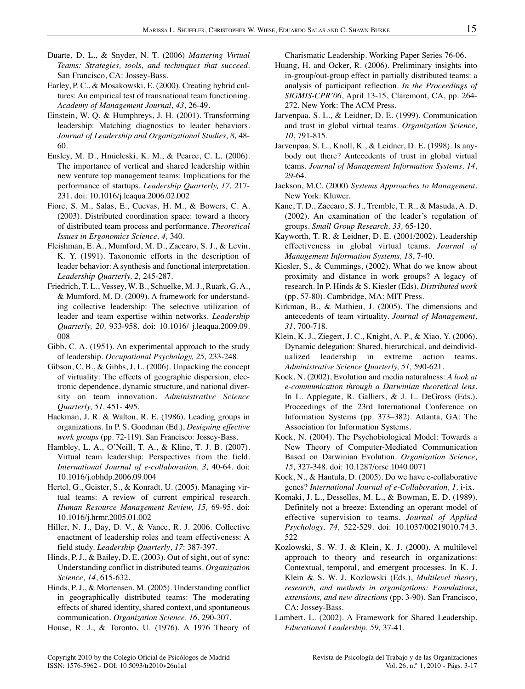- Duarte, D. L., & Snyder, N. T. (2006) *Mastering Virtual Teams: Strategies, tools, and techniques that succeed*. San Francisco, CA: Jossey-Bass.
- Earley, P. C., & Mosakowski, E. (2000). Creating hybrid cultures: An empirical test of transnational team functioning. *Academy of Management Journal, 43*, 26-49.
- Einstein, W. Q. & Humphreys, J. H. (2001). Transforming leadership: Matching diagnostics to leader behaviors. *Journal of Leadership and Organizational Studies, 8,* 48- 60.
- Ensley, M. D., Hmieleski, K. M., & Pearce, C. L. (2006). The importance of vertical and shared leadership within new venture top management teams: Implications for the performance of startups. *Leadership Quarterly, 17,* 217- 231. doi: 10.1016/j.leaqua.2006.02.002
- Fiore, S. M., Salas, E., Cuevas, H. M., & Bowers, C. A. (2003). Distributed coordination space: toward a theory of distributed team process and performance. *Theoretical Issues in Ergonomics Science, 4,* 340.
- Fleishman, E. A., Mumford, M. D., Zaccaro, S. J., & Levin, K. Y. (1991). Taxonomic efforts in the description of leader behavior: A synthesis and functional interpretation. *Leadership Quarterly, 2,* 245-287.
- Friedrich, T. L., Vessey, W. B., Schuelke, M. J., Ruark, G. A., & Mumford, M. D. (2009). A framework for understanding collective leadership: The selective utilization of leader and team expertise within networks. *Leadership Quarterly, 20,* 933-958. doi: 10.1016/ j.leaqua.2009.09. 008
- Gibb, C. A. (1951). An experimental approach to the study of leadership. *Occupational Psychology, 25,* 233-248.
- Gibson, C. B., & Gibbs, J. L. (2006). Unpacking the concept of virtuality: The effects of geographic dispersion, electronic dependence, dynamic structure, and national diversity on team innovation. *Administrative Science Quarterly, 51,* 451- 495.
- Hackman, J. R. & Walton, R. E. (1986). Leading groups in organizations. In P. S. Goodman (Ed.), *Designing effective work groups* (pp. 72-119). San Francisco: Jossey-Bass.
- Hambley, L. A., O'Neill, T. A., & Kline, T. J. B. (2007). Virtual team leadership: Perspectives from the field. *International Journal of e-collaboration, 3,* 40-64. doi: 10.1016/j.obhdp.2006.09.004
- Hertel, G., Geister, S., & Konradt, U. (2005). Managing virtual teams: A review of current empirical research. *Human Resource Management Review, 15,* 69-95. doi: 10.1016/j.hrmr.2005.01.002
- Hiller, N. J., Day, D. V., & Vance, R. J. 2006. Collective enactment of leadership roles and team effectiveness: A field study. *Leadership Quarterly*, *17*: 387-397.
- Hinds, P. J., & Bailey, D. E. (2003). Out of sight, out of sync: Understanding conflict in distributed teams. *Organization Science, 14*, 615-632.
- Hinds, P. J., & Mortensen, M. (2005). Understanding conflict in geographically distributed teams: The moderating effects of shared identity, shared context, and spontaneous communication. *Organization Science, 16*, 290-307.

House, R. J., & Toronto, U. (1976). A 1976 Theory of

Charismatic Leadership. Working Paper Series 76-06.

- Huang, H. and Ocker, R. (2006). Preliminary insights into in-group/out-group effect in partially distributed teams: a analysis of participant reflection. *In the Proceedings of SIGMIS-CPR'06*, April 13-15, Claremont, CA, pp. 264- 272. New York: The ACM Press.
- Jarvenpaa, S. L., & Leidner, D. E. (1999). Communication and trust in global virtual teams. *Organization Science, 10*, 791-815.
- Jarvenpaa, S. L., Knoll, K., & Leidner, D. E. (1998). Is anybody out there? Antecedents of trust in global virtual teams. *Journal of Management Information Systems, 14*, 29-64.
- Jackson, M.C. (2000) *Systems Approaches to Management*. New York: Kluwer.
- Kane, T. D., Zaccaro, S. J., Tremble, T. R., & Masuda, A. D. (2002). An examination of the leader's regulation of groups. *Small Group Research, 33,* 65-120.
- Kayworth, T. R. & Leidner, D. E. (2001/2002). Leadership effectiveness in global virtual teams. *Journal of Management Information Systems, 18*, 7-40.
- Kiesler, S., & Cummings, (2002). What do we know about proximity and distance in work groups? A legacy of research. In P. Hinds & S. Kiesler (Eds), *Distributed work* (pp. 57-80). Cambridge, MA: MIT Press.
- Kirkman, B., & Mathieu, J. (2005). The dimensions and antecedents of team virtuality. *Journal of Management, 31*, 700-718.
- Klein, K. J., Ziegert, J. C., Knight, A. P., & Xiao, Y. (2006). Dynamic delegation: Shared, hierarchical, and deindividualized leadership in extreme action teams. *Administrative Science Quarterly, 51,* 590-621.
- Kock, N. (2002), Evolution and media naturalness: *A look at e-communication through a Darwinian theoretical lens*. In L. Applegate, R. Galliers, & J. L. DeGross (Eds.), Proceedings of the 23rd International Conference on Information Systems (pp. 373–382). Atlanta, GA: The Association for Information Systems.
- Kock, N. (2004). The Psychobiological Model: Towards a New Theory of Computer-Mediated Communication Based on Darwinian Evolution. *Organization Science, 15,* 327-348. doi: 10.1287/orsc.1040.0071
- Kock, N., & Hantula, D. (2005). Do we have e-collaborative genes? *International Journal of e-Collaboration, 1,* i-ix.
- Komaki, J. L., Desselles, M. L., & Bowman, E. D. (1989). Definitely not a breeze: Extending an operant model of effective supervision to teams. *Journal of Applied Psychology, 74,* 522-529. doi: 10.1037/00219010.74.3. 522
- Kozlowski, S. W. J. & Klein, K. J. (2000). A multilevel approach to theory and research in organizations: Contextual, temporal, and emergent processes. In K. J. Klein & S. W. J. Kozlowski (Eds.), *Multilevel theory, research, and methods in organizations: Foundations, extensions, and new directions* (pp. 3-90). San Francisco, CA: Jossey-Bass.
- Lambert, L. (2002). A Framework for Shared Leadership. *Educational Leadership, 59,* 37-41.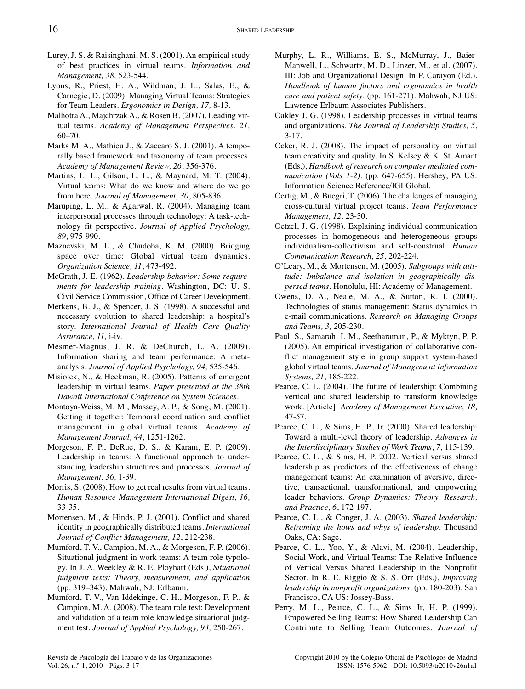- Lurey, J. S. & Raisinghani, M. S. (2001). An empirical study of best practices in virtual teams. *Information and Management, 38,* 523-544.
- Lyons, R., Priest, H. A., Wildman, J. L., Salas, E., & Carnegie, D. (2009). Managing Virtual Teams: Strategies for Team Leaders. *Ergonomics in Design, 17,* 8-13.
- Malhotra A., Majchrzak A., & Rosen B. (2007). Leading virtual teams. *Academy of Management Perspecives. 21,* 60–70.
- Marks M. A., Mathieu J., & Zaccaro S. J. (2001). A temporally based framework and taxonomy of team processes. *Academy of Management Review, 26*, 356-376.
- Martins, L. L., Gilson, L. L., & Maynard, M. T. (2004). Virtual teams: What do we know and where do we go from here. *Journal of Management, 30*, 805-836.
- Maruping, L. M., & Agarwal, R. (2004). Managing team interpersonal processes through technology: A task-technology fit perspective. *Journal of Applied Psychology, 89*, 975-990.
- Maznevski, M. L., & Chudoba, K. M. (2000). Bridging space over time: Global virtual team dynamics. *Organization Science, 11*, 473-492.
- McGrath, J. E. (1962). *Leadership behavior: Some requirements for leadership training*. Washington, DC: U. S. Civil Service Commission, Office of Career Development.
- Merkens, B. J., & Spencer, J. S. (1998). A successful and necessary evolution to shared leadership: a hospital's story. *International Journal of Health Care Quality Assurance, 11,* i-iv.
- Mesmer-Magnus, J. R. & DeChurch, L. A. (2009). Information sharing and team performance: A metaanalysis. *Journal of Applied Psychology, 94,* 535-546.
- Misiolek, N., & Heckman, R. (2005). Patterns of emergent leadership in virtual teams. *Paper presented at the 38th Hawaii International Conference on System Sciences*.
- Montoya-Weiss, M. M., Massey, A. P., & Song, M. (2001). Getting it together: Temporal coordination and conflict management in global virtual teams. *Academy of Management Journal, 44*, 1251-1262.
- Morgeson, F. P., DeRue, D. S., & Karam, E. P. (2009). Leadership in teams: A functional approach to understanding leadership structures and processes. *Journal of Management, 36,* 1-39.
- Morris, S. (2008). How to get real results from virtual teams. *Human Resource Management International Digest, 16,* 33-35.
- Mortensen, M., & Hinds, P. J. (2001). Conflict and shared identity in geographically distributed teams. *International Journal of Conflict Management, 12*, 212-238.
- Mumford, T. V., Campion, M. A., & Morgeson, F. P. (2006). Situational judgment in work teams: A team role typology. In J. A. Weekley & R. E. Ployhart (Eds.), *Situational judgment tests: Theory, measurement, and application* (pp. 319–343). Mahwah, NJ: Erlbaum.
- Mumford, T. V., Van Iddekinge, C. H., Morgeson, F. P., & Campion, M. A. (2008). The team role test: Development and validation of a team role knowledge situational judgment test. *Journal of Applied Psychology, 93,* 250-267.
- Murphy, L. R., Williams, E. S., McMurray, J., Baier-Manwell, L., Schwartz, M. D., Linzer, M., et al. (2007). III: Job and Organizational Design. In P. Carayon (Ed.), *Handbook of human factors and ergonomics in health care and patient safety*. (pp. 161-271). Mahwah, NJ US: Lawrence Erlbaum Associates Publishers.
- Oakley J. G. (1998). Leadership processes in virtual teams and organizations. *The Journal of Leadership Studies, 5*, 3-17.
- Ocker, R. J. (2008). The impact of personality on virtual team creativity and quality. In S. Kelsey & K. St. Amant (Eds.), *Handbook of research on computer mediated communication (Vols 1-2).* (pp. 647-655). Hershey, PA US: Information Science Reference/IGI Global.
- Oertig, M., & Buegri, T. (2006). The challenges of managing cross-cultural virtual project teams. *Team Performance Management, 12,* 23-30.
- Oetzel, J. G. (1998). Explaining individual communication processes in homogeneous and heterogeneous groups individualism-collectivism and self-construal. *Human Communication Research, 25*, 202-224.
- O'Leary, M., & Mortensen, M. (2005). *Subgroups with attitude: Imbalance and isolation in geographically dispersed teams.* Honolulu, HI: Academy of Management.
- Owens, D. A., Neale, M. A., & Sutton, R. I. (2000). Technologies of status management: Status dynamics in e-mail communications. *Research on Managing Groups and Teams, 3,* 205-230.
- Paul, S., Samarah, I. M., Seetharaman, P., & Myktyn, P. P. (2005). An empirical investigation of collaborative conflict management style in group support system-based global virtual teams. *Journal of Management Information Systems, 21*, 185-222.
- Pearce, C. L. (2004). The future of leadership: Combining vertical and shared leadership to transform knowledge work. [Article]. *Academy of Management Executive, 18,* 47-57.
- Pearce, C. L., & Sims, H. P., Jr. (2000). Shared leadership: Toward a multi-level theory of leadership. *Advances in the Interdisciplinary Studies of Work Teams*, *7*, 115-139.
- Pearce, C. L., & Sims, H. P. 2002. Vertical versus shared leadership as predictors of the effectiveness of change management teams: An examination of aversive, directive, transactional, transformational, and empowering leader behaviors. *Group Dynamics: Theory, Research, and Practice*, *6*, 172-197.
- Pearce, C. L., & Conger, J. A. (2003). *Shared leadership: Reframing the hows and whys of leadership.* Thousand Oaks, CA: Sage.
- Pearce, C. L., Yoo, Y., & Alavi, M. (2004). Leadership, Social Work, and Virtual Teams: The Relative Influence of Vertical Versus Shared Leadership in the Nonprofit Sector. In R. E. Riggio & S. S. Orr (Eds.), *Improving leadership in nonprofit organizations.* (pp. 180-203). San Francisco, CA US: Jossey-Bass.
- Perry, M. L., Pearce, C. L., & Sims Jr, H. P. (1999). Empowered Selling Teams: How Shared Leadership Can Contribute to Selling Team Outcomes. *Journal of*